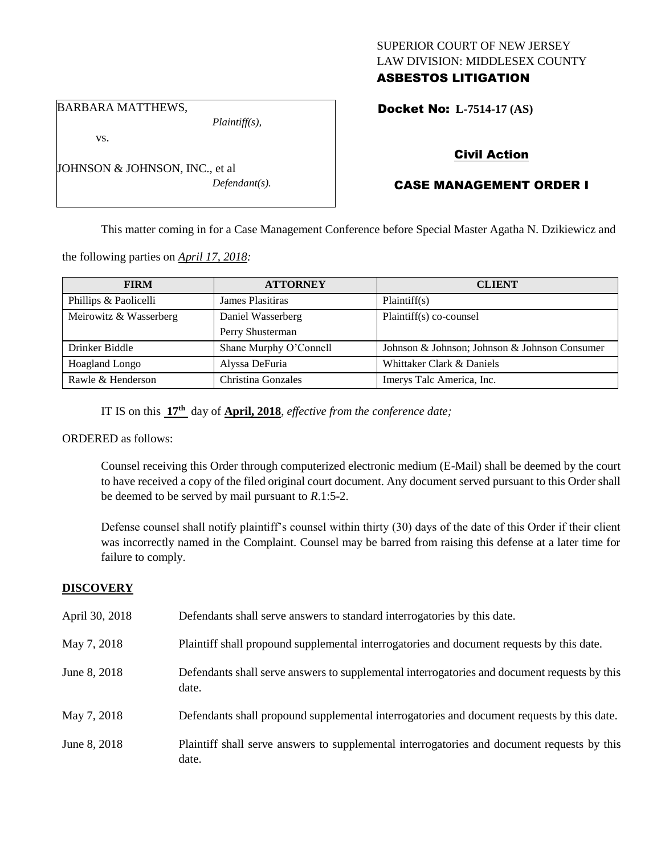## SUPERIOR COURT OF NEW JERSEY LAW DIVISION: MIDDLESEX COUNTY ASBESTOS LITIGATION

Docket No: **L-7514-17 (AS)** 

#### BARBARA MATTHEWS,

vs.

*Plaintiff(s),*

*Defendant(s).*

# Civil Action

## CASE MANAGEMENT ORDER I

This matter coming in for a Case Management Conference before Special Master Agatha N. Dzikiewicz and

the following parties on *April 17, 2018:*

JOHNSON & JOHNSON, INC., et al

| <b>FIRM</b>            | <b>ATTORNEY</b>        | <b>CLIENT</b>                                 |
|------------------------|------------------------|-----------------------------------------------|
| Phillips & Paolicelli  | James Plasitiras       | Plaintiff(s)                                  |
| Meirowitz & Wasserberg | Daniel Wasserberg      | Plaintiff(s) co-counsel                       |
|                        | Perry Shusterman       |                                               |
| Drinker Biddle         | Shane Murphy O'Connell | Johnson & Johnson; Johnson & Johnson Consumer |
| <b>Hoagland Longo</b>  | Alyssa DeFuria         | Whittaker Clark & Daniels                     |
| Rawle & Henderson      | Christina Gonzales     | Imerys Talc America, Inc.                     |

IT IS on this **17th** day of **April, 2018**, *effective from the conference date;*

#### ORDERED as follows:

Counsel receiving this Order through computerized electronic medium (E-Mail) shall be deemed by the court to have received a copy of the filed original court document. Any document served pursuant to this Order shall be deemed to be served by mail pursuant to *R*.1:5-2.

Defense counsel shall notify plaintiff's counsel within thirty (30) days of the date of this Order if their client was incorrectly named in the Complaint. Counsel may be barred from raising this defense at a later time for failure to comply.

## **DISCOVERY**

| April 30, 2018 | Defendants shall serve answers to standard interrogatories by this date.                              |
|----------------|-------------------------------------------------------------------------------------------------------|
| May 7, 2018    | Plaintiff shall propound supplemental interrogatories and document requests by this date.             |
| June 8, 2018   | Defendants shall serve answers to supplemental interrogatories and document requests by this<br>date. |
| May 7, 2018    | Defendants shall propound supplemental interrogatories and document requests by this date.            |
| June 8, 2018   | Plaintiff shall serve answers to supplemental interrogatories and document requests by this<br>date.  |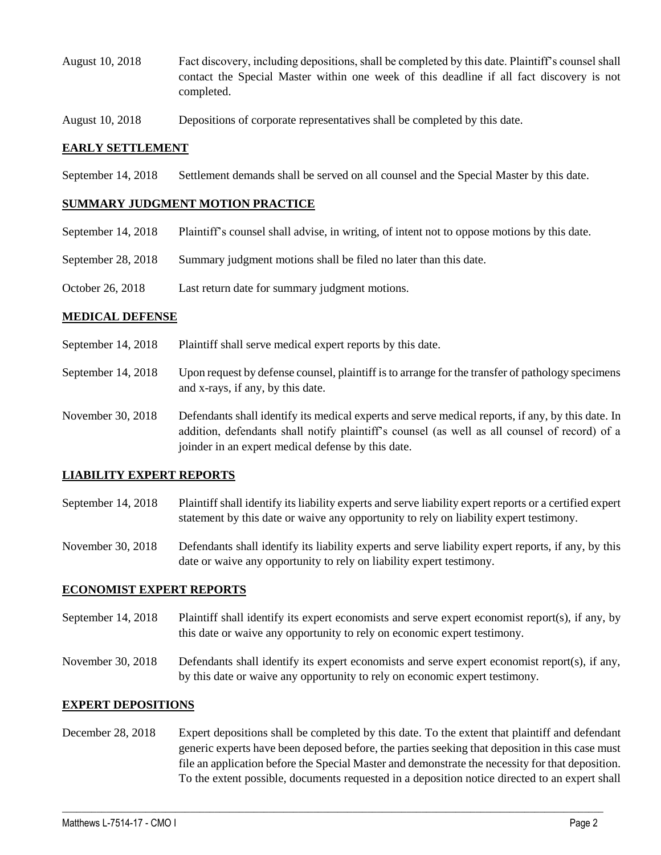- August 10, 2018 Fact discovery, including depositions, shall be completed by this date. Plaintiff's counsel shall contact the Special Master within one week of this deadline if all fact discovery is not completed.
- August 10, 2018 Depositions of corporate representatives shall be completed by this date.

#### **EARLY SETTLEMENT**

September 14, 2018 Settlement demands shall be served on all counsel and the Special Master by this date.

#### **SUMMARY JUDGMENT MOTION PRACTICE**

- September 14, 2018 Plaintiff's counsel shall advise, in writing, of intent not to oppose motions by this date.
- September 28, 2018 Summary judgment motions shall be filed no later than this date.
- October 26, 2018 Last return date for summary judgment motions.

#### **MEDICAL DEFENSE**

- September 14, 2018 Plaintiff shall serve medical expert reports by this date.
- September 14, 2018 Upon request by defense counsel, plaintiff is to arrange for the transfer of pathology specimens and x-rays, if any, by this date.
- November 30, 2018 Defendants shall identify its medical experts and serve medical reports, if any, by this date. In addition, defendants shall notify plaintiff's counsel (as well as all counsel of record) of a joinder in an expert medical defense by this date.

#### **LIABILITY EXPERT REPORTS**

- September 14, 2018 Plaintiff shall identify its liability experts and serve liability expert reports or a certified expert statement by this date or waive any opportunity to rely on liability expert testimony.
- November 30, 2018 Defendants shall identify its liability experts and serve liability expert reports, if any, by this date or waive any opportunity to rely on liability expert testimony.

#### **ECONOMIST EXPERT REPORTS**

- September 14, 2018 Plaintiff shall identify its expert economists and serve expert economist report(s), if any, by this date or waive any opportunity to rely on economic expert testimony.
- November 30, 2018 Defendants shall identify its expert economists and serve expert economist report(s), if any, by this date or waive any opportunity to rely on economic expert testimony.

#### **EXPERT DEPOSITIONS**

December 28, 2018 Expert depositions shall be completed by this date. To the extent that plaintiff and defendant generic experts have been deposed before, the parties seeking that deposition in this case must file an application before the Special Master and demonstrate the necessity for that deposition. To the extent possible, documents requested in a deposition notice directed to an expert shall

 $\_$  ,  $\_$  ,  $\_$  ,  $\_$  ,  $\_$  ,  $\_$  ,  $\_$  ,  $\_$  ,  $\_$  ,  $\_$  ,  $\_$  ,  $\_$  ,  $\_$  ,  $\_$  ,  $\_$  ,  $\_$  ,  $\_$  ,  $\_$  ,  $\_$  ,  $\_$  ,  $\_$  ,  $\_$  ,  $\_$  ,  $\_$  ,  $\_$  ,  $\_$  ,  $\_$  ,  $\_$  ,  $\_$  ,  $\_$  ,  $\_$  ,  $\_$  ,  $\_$  ,  $\_$  ,  $\_$  ,  $\_$  ,  $\_$  ,